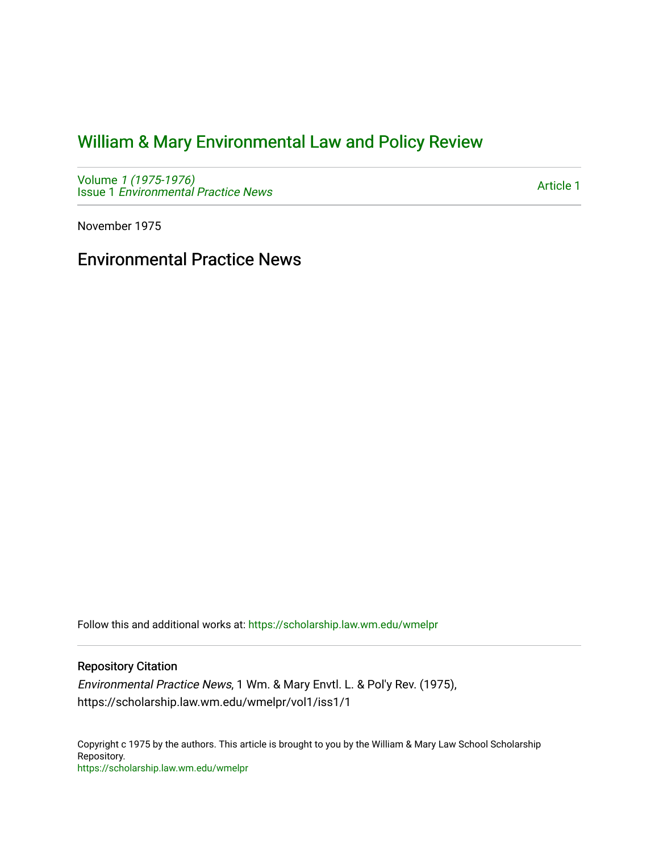## [William & Mary Environmental Law and Policy Review](https://scholarship.law.wm.edu/wmelpr)

Volume [1 \(1975-1976\)](https://scholarship.law.wm.edu/wmelpr/vol1)  Issue 1 [Environmental Practice News](https://scholarship.law.wm.edu/wmelpr/vol1/iss1) 

[Article 1](https://scholarship.law.wm.edu/wmelpr/vol1/iss1/1) 

November 1975

## Environmental Practice News

Follow this and additional works at: [https://scholarship.law.wm.edu/wmelpr](https://scholarship.law.wm.edu/wmelpr?utm_source=scholarship.law.wm.edu%2Fwmelpr%2Fvol1%2Fiss1%2F1&utm_medium=PDF&utm_campaign=PDFCoverPages)

## Repository Citation

Environmental Practice News, 1 Wm. & Mary Envtl. L. & Pol'y Rev. (1975), https://scholarship.law.wm.edu/wmelpr/vol1/iss1/1

Copyright c 1975 by the authors. This article is brought to you by the William & Mary Law School Scholarship Repository. <https://scholarship.law.wm.edu/wmelpr>